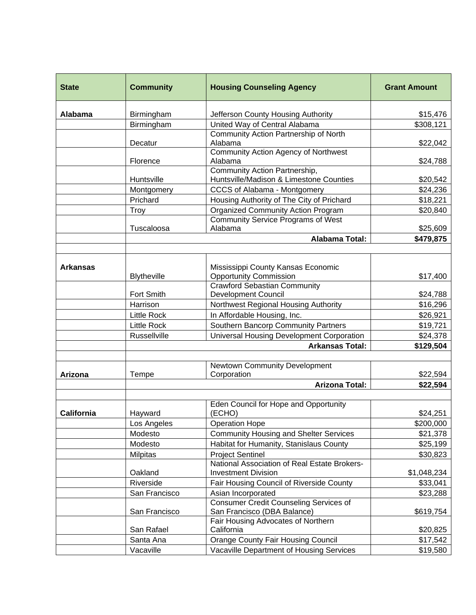| <b>State</b>    | <b>Community</b>   | <b>Housing Counseling Agency</b>                                             | <b>Grant Amount</b> |
|-----------------|--------------------|------------------------------------------------------------------------------|---------------------|
| Alabama         | Birmingham         | Jefferson County Housing Authority                                           | \$15,476            |
|                 | Birmingham         | United Way of Central Alabama                                                | \$308,121           |
|                 | Decatur            | Community Action Partnership of North<br>Alabama                             | \$22,042            |
|                 | Florence           | <b>Community Action Agency of Northwest</b><br>Alabama                       | \$24,788            |
|                 | Huntsville         | Community Action Partnership,<br>Huntsville/Madison & Limestone Counties     | \$20,542            |
|                 | Montgomery         | CCCS of Alabama - Montgomery                                                 | \$24,236            |
|                 | Prichard           | Housing Authority of The City of Prichard                                    | \$18,221            |
|                 | Troy               | Organized Community Action Program                                           | \$20,840            |
|                 | Tuscaloosa         | <b>Community Service Programs of West</b><br>Alabama                         | \$25,609            |
|                 |                    | <b>Alabama Total:</b>                                                        | \$479,875           |
|                 |                    |                                                                              |                     |
| <b>Arkansas</b> | <b>Blytheville</b> | Mississippi County Kansas Economic<br><b>Opportunity Commission</b>          | \$17,400            |
|                 | Fort Smith         | <b>Crawford Sebastian Community</b><br><b>Development Council</b>            | \$24,788            |
|                 | Harrison           | Northwest Regional Housing Authority                                         | \$16,296            |
|                 | <b>Little Rock</b> | In Affordable Housing, Inc.                                                  | \$26,921            |
|                 | <b>Little Rock</b> | Southern Bancorp Community Partners                                          | \$19,721            |
|                 | Russellville       | Universal Housing Development Corporation                                    | \$24,378            |
|                 |                    | <b>Arkansas Total:</b>                                                       | \$129,504           |
|                 |                    |                                                                              |                     |
| Arizona         | Tempe              | <b>Newtown Community Development</b><br>Corporation                          | \$22,594            |
|                 |                    | <b>Arizona Total:</b>                                                        | \$22,594            |
|                 |                    |                                                                              |                     |
| California      | Hayward            | Eden Council for Hope and Opportunity<br>(ECHO)                              | \$24,251            |
|                 | Los Angeles        | <b>Operation Hope</b>                                                        | \$200,000           |
|                 | Modesto            | <b>Community Housing and Shelter Services</b>                                | \$21,378            |
|                 | Modesto            | Habitat for Humanity, Stanislaus County                                      | \$25,199            |
|                 | Milpitas           | <b>Project Sentinel</b>                                                      | \$30,823            |
|                 | Oakland            | National Association of Real Estate Brokers-<br><b>Investment Division</b>   | \$1,048,234         |
|                 | Riverside          | Fair Housing Council of Riverside County                                     | \$33,041            |
|                 | San Francisco      | Asian Incorporated                                                           | \$23,288            |
|                 | San Francisco      | <b>Consumer Credit Counseling Services of</b><br>San Francisco (DBA Balance) | \$619,754           |
|                 | San Rafael         | Fair Housing Advocates of Northern<br>California                             | \$20,825            |
|                 | Santa Ana          | <b>Orange County Fair Housing Council</b>                                    | \$17,542            |
|                 | Vacaville          | Vacaville Department of Housing Services                                     | \$19,580            |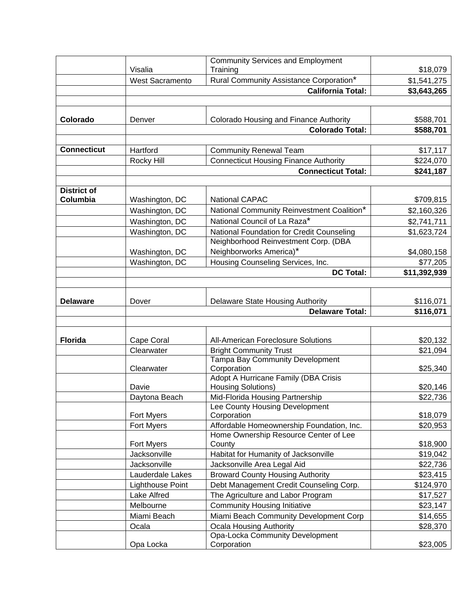|                                |                        | <b>Community Services and Employment</b>                          |              |
|--------------------------------|------------------------|-------------------------------------------------------------------|--------------|
|                                | Visalia                | Training                                                          | \$18,079     |
|                                | <b>West Sacramento</b> | Rural Community Assistance Corporation*                           | \$1,541,275  |
|                                |                        | <b>California Total:</b>                                          | \$3,643,265  |
|                                |                        |                                                                   |              |
| Colorado                       | Denver                 | Colorado Housing and Finance Authority                            | \$588,701    |
|                                |                        | <b>Colorado Total:</b>                                            | \$588,701    |
|                                |                        |                                                                   |              |
| <b>Connecticut</b>             | Hartford               | <b>Community Renewal Team</b>                                     | \$17,117     |
|                                | Rocky Hill             | <b>Connecticut Housing Finance Authority</b>                      | \$224,070    |
|                                |                        | <b>Connecticut Total:</b>                                         | \$241,187    |
|                                |                        |                                                                   |              |
| <b>District of</b><br>Columbia | Washington, DC         | <b>National CAPAC</b>                                             | \$709,815    |
|                                | Washington, DC         | National Community Reinvestment Coalition*                        | \$2,160,326  |
|                                | Washington, DC         | National Council of La Raza*                                      |              |
|                                | Washington, DC         | National Foundation for Credit Counseling                         | \$2,741,711  |
|                                |                        | Neighborhood Reinvestment Corp. (DBA                              | \$1,623,724  |
|                                | Washington, DC         | Neighborworks America)*                                           | \$4,080,158  |
|                                | Washington, DC         | Housing Counseling Services, Inc.                                 | \$77,205     |
|                                |                        | <b>DC Total:</b>                                                  | \$11,392,939 |
|                                |                        |                                                                   |              |
|                                |                        |                                                                   |              |
| <b>Delaware</b>                | Dover                  | Delaware State Housing Authority                                  | \$116,071    |
|                                |                        | <b>Delaware Total:</b>                                            | \$116,071    |
|                                |                        |                                                                   |              |
| <b>Florida</b>                 | Cape Coral             | <b>All-American Foreclosure Solutions</b>                         | \$20,132     |
|                                | Clearwater             | <b>Bright Community Trust</b>                                     | \$21,094     |
|                                |                        | Tampa Bay Community Development                                   |              |
|                                | Clearwater             | Corporation                                                       | \$25,340     |
|                                |                        | Adopt A Hurricane Family (DBA Crisis                              |              |
|                                | Davie                  | <b>Housing Solutions)</b>                                         | \$20,146     |
|                                | Daytona Beach          | Mid-Florida Housing Partnership<br>Lee County Housing Development | \$22,736     |
|                                | Fort Myers             | Corporation                                                       | \$18,079     |
|                                | <b>Fort Myers</b>      | Affordable Homeownership Foundation, Inc.                         | \$20,953     |
|                                |                        | Home Ownership Resource Center of Lee                             |              |
|                                | Fort Myers             | County                                                            | \$18,900     |
|                                | Jacksonville           | Habitat for Humanity of Jacksonville                              | \$19,042     |
|                                | Jacksonville           | Jacksonville Area Legal Aid                                       | \$22,736     |
|                                | Lauderdale Lakes       | <b>Broward County Housing Authority</b>                           | \$23,415     |
|                                | Lighthouse Point       | Debt Management Credit Counseling Corp.                           | \$124,970    |
|                                | Lake Alfred            | The Agriculture and Labor Program                                 | \$17,527     |
|                                | Melbourne              | <b>Community Housing Initiative</b>                               | \$23,147     |
|                                | Miami Beach            | Miami Beach Community Development Corp                            | \$14,655     |
|                                | Ocala                  | Ocala Housing Authority                                           | \$28,370     |
|                                |                        | Opa-Locka Community Development                                   |              |
|                                | Opa Locka              | Corporation                                                       | \$23,005     |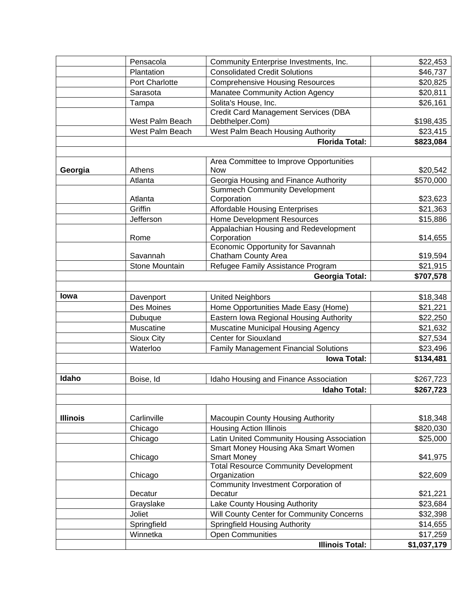|                 | Pensacola       | Community Enterprise Investments, Inc.                                        | \$22,453    |
|-----------------|-----------------|-------------------------------------------------------------------------------|-------------|
|                 | Plantation      | <b>Consolidated Credit Solutions</b>                                          | \$46,737    |
|                 | Port Charlotte  | <b>Comprehensive Housing Resources</b>                                        | \$20,825    |
|                 | Sarasota        | <b>Manatee Community Action Agency</b>                                        | \$20,811    |
|                 | Tampa           | Solita's House, Inc.                                                          | \$26,161    |
|                 |                 | <b>Credit Card Management Services (DBA</b>                                   |             |
|                 | West Palm Beach | Debthelper.Com)                                                               | \$198,435   |
|                 | West Palm Beach | West Palm Beach Housing Authority                                             | \$23,415    |
|                 |                 | <b>Florida Total:</b>                                                         | \$823,084   |
|                 |                 |                                                                               |             |
|                 |                 | Area Committee to Improve Opportunities                                       |             |
| Georgia         | Athens          | <b>Now</b>                                                                    | \$20,542    |
|                 | Atlanta         | Georgia Housing and Finance Authority<br><b>Summech Community Development</b> | \$570,000   |
|                 | Atlanta         | Corporation                                                                   | \$23,623    |
|                 | Griffin         | <b>Affordable Housing Enterprises</b>                                         | \$21,363    |
|                 | Jefferson       | <b>Home Development Resources</b>                                             | \$15,886    |
|                 |                 | Appalachian Housing and Redevelopment                                         |             |
|                 | Rome            | Corporation                                                                   | \$14,655    |
|                 |                 | Economic Opportunity for Savannah                                             |             |
|                 | Savannah        | Chatham County Area                                                           | \$19,594    |
|                 | Stone Mountain  | Refugee Family Assistance Program                                             | \$21,915    |
|                 |                 | <b>Georgia Total:</b>                                                         | \$707,578   |
|                 |                 |                                                                               |             |
| lowa            | Davenport       | <b>United Neighbors</b>                                                       | \$18,348    |
|                 | Des Moines      | Home Opportunities Made Easy (Home)                                           | \$21,221    |
|                 | Dubuque         | Eastern Iowa Regional Housing Authority                                       | \$22,250    |
|                 | Muscatine       | Muscatine Municipal Housing Agency                                            | \$21,632    |
|                 | Sioux City      | <b>Center for Siouxland</b>                                                   | \$27,534    |
|                 | Waterloo        | <b>Family Management Financial Solutions</b>                                  | \$23,496    |
|                 |                 | <b>Iowa Total:</b>                                                            | \$134,481   |
| Idaho           |                 |                                                                               |             |
|                 | Boise, Id       | Idaho Housing and Finance Association                                         | \$267,723   |
|                 |                 | <b>Idaho Total:</b>                                                           | \$267,723   |
|                 |                 |                                                                               |             |
| <b>Illinois</b> | Carlinville     | Macoupin County Housing Authority                                             | \$18,348    |
|                 | Chicago         | <b>Housing Action Illinois</b>                                                | \$820,030   |
|                 | Chicago         | Latin United Community Housing Association                                    | \$25,000    |
|                 |                 | Smart Money Housing Aka Smart Women                                           |             |
|                 | Chicago         | <b>Smart Money</b>                                                            | \$41,975    |
|                 |                 | <b>Total Resource Community Development</b>                                   |             |
|                 | Chicago         | Organization<br>Community Investment Corporation of                           | \$22,609    |
|                 | Decatur         | Decatur                                                                       | \$21,221    |
|                 | Grayslake       | Lake County Housing Authority                                                 | \$23,684    |
|                 | Joliet          | Will County Center for Community Concerns                                     | \$32,398    |
|                 | Springfield     | Springfield Housing Authority                                                 | \$14,655    |
|                 | Winnetka        | <b>Open Communities</b>                                                       | \$17,259    |
|                 |                 | <b>Illinois Total:</b>                                                        | \$1,037,179 |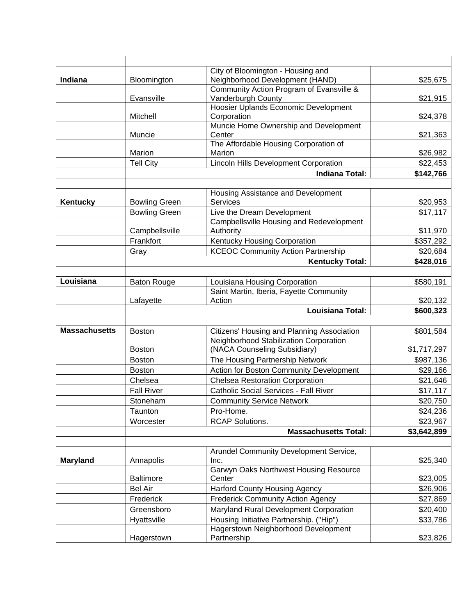| City of Bloomington - Housing and<br>Indiana<br>Neighborhood Development (HAND)<br>Bloomington<br>\$25,675<br>Community Action Program of Evansville &<br>Vanderburgh County<br>Evansville<br>\$21,915<br>Hoosier Uplands Economic Development<br>Mitchell<br>Corporation<br>\$24,378<br>Muncie Home Ownership and Development<br>Center<br>Muncie<br>\$21,363<br>The Affordable Housing Corporation of<br>Marion<br>Marion<br>\$26,982<br><b>Tell City</b><br><b>Lincoln Hills Development Corporation</b><br>\$22,453<br><b>Indiana Total:</b><br>\$142,766<br>Housing Assistance and Development<br><b>Services</b><br>Kentucky<br><b>Bowling Green</b><br>\$20,953<br><b>Bowling Green</b><br>Live the Dream Development<br>\$17,117<br>Campbellsville Housing and Redevelopment<br>Campbellsville<br>Authority<br>\$11,970<br>Frankfort<br>Kentucky Housing Corporation<br>\$357,292<br><b>KCEOC Community Action Partnership</b><br>\$20,684<br>Gray<br><b>Kentucky Total:</b><br>\$428,016<br>Louisiana<br><b>Baton Rouge</b><br>Louisiana Housing Corporation<br>\$580,191<br>Saint Martin, Iberia, Fayette Community<br>Action<br>Lafayette<br>\$20,132<br><b>Louisiana Total:</b><br>\$600,323<br><b>Massachusetts</b><br>Citizens' Housing and Planning Association<br>\$801,584<br><b>Boston</b><br>Neighborhood Stabilization Corporation<br>(NACA Counseling Subsidiary)<br><b>Boston</b><br>\$1,717,297<br>The Housing Partnership Network<br>\$987,136<br><b>Boston</b><br><b>Boston</b><br>Action for Boston Community Development<br>\$29,166<br>Chelsea<br><b>Chelsea Restoration Corporation</b><br>\$21,646<br><b>Fall River</b><br>Catholic Social Services - Fall River<br>\$17,117<br><b>Community Service Network</b><br>\$20,750<br>Stoneham<br>Pro-Home.<br>Taunton<br>\$24,236<br>Worcester<br><b>RCAP Solutions.</b><br>\$23,967<br><b>Massachusetts Total:</b><br>\$3,642,899<br>Arundel Community Development Service,<br>Annapolis<br><b>Maryland</b><br>\$25,340<br>Inc.<br><b>Garwyn Oaks Northwest Housing Resource</b><br><b>Baltimore</b><br>\$23,005<br>Center<br><b>Bel Air</b><br><b>Harford County Housing Agency</b><br>\$26,906<br>Frederick<br><b>Frederick Community Action Agency</b><br>\$27,869<br>Maryland Rural Development Corporation<br>Greensboro<br>\$20,400<br>Housing Initiative Partnership. ("Hip")<br>Hyattsville<br>\$33,786<br>Hagerstown Neighborhood Development<br>Hagerstown<br>Partnership<br>\$23,826 |  |  |
|---------------------------------------------------------------------------------------------------------------------------------------------------------------------------------------------------------------------------------------------------------------------------------------------------------------------------------------------------------------------------------------------------------------------------------------------------------------------------------------------------------------------------------------------------------------------------------------------------------------------------------------------------------------------------------------------------------------------------------------------------------------------------------------------------------------------------------------------------------------------------------------------------------------------------------------------------------------------------------------------------------------------------------------------------------------------------------------------------------------------------------------------------------------------------------------------------------------------------------------------------------------------------------------------------------------------------------------------------------------------------------------------------------------------------------------------------------------------------------------------------------------------------------------------------------------------------------------------------------------------------------------------------------------------------------------------------------------------------------------------------------------------------------------------------------------------------------------------------------------------------------------------------------------------------------------------------------------------------------------------------------------------------------------------------------------------------------------------------------------------------------------------------------------------------------------------------------------------------------------------------------------------------------------------------------------------------------------------------------------------------------------------------------------------------------------------------------------------------|--|--|
|                                                                                                                                                                                                                                                                                                                                                                                                                                                                                                                                                                                                                                                                                                                                                                                                                                                                                                                                                                                                                                                                                                                                                                                                                                                                                                                                                                                                                                                                                                                                                                                                                                                                                                                                                                                                                                                                                                                                                                                                                                                                                                                                                                                                                                                                                                                                                                                                                                                                           |  |  |
|                                                                                                                                                                                                                                                                                                                                                                                                                                                                                                                                                                                                                                                                                                                                                                                                                                                                                                                                                                                                                                                                                                                                                                                                                                                                                                                                                                                                                                                                                                                                                                                                                                                                                                                                                                                                                                                                                                                                                                                                                                                                                                                                                                                                                                                                                                                                                                                                                                                                           |  |  |
|                                                                                                                                                                                                                                                                                                                                                                                                                                                                                                                                                                                                                                                                                                                                                                                                                                                                                                                                                                                                                                                                                                                                                                                                                                                                                                                                                                                                                                                                                                                                                                                                                                                                                                                                                                                                                                                                                                                                                                                                                                                                                                                                                                                                                                                                                                                                                                                                                                                                           |  |  |
|                                                                                                                                                                                                                                                                                                                                                                                                                                                                                                                                                                                                                                                                                                                                                                                                                                                                                                                                                                                                                                                                                                                                                                                                                                                                                                                                                                                                                                                                                                                                                                                                                                                                                                                                                                                                                                                                                                                                                                                                                                                                                                                                                                                                                                                                                                                                                                                                                                                                           |  |  |
|                                                                                                                                                                                                                                                                                                                                                                                                                                                                                                                                                                                                                                                                                                                                                                                                                                                                                                                                                                                                                                                                                                                                                                                                                                                                                                                                                                                                                                                                                                                                                                                                                                                                                                                                                                                                                                                                                                                                                                                                                                                                                                                                                                                                                                                                                                                                                                                                                                                                           |  |  |
|                                                                                                                                                                                                                                                                                                                                                                                                                                                                                                                                                                                                                                                                                                                                                                                                                                                                                                                                                                                                                                                                                                                                                                                                                                                                                                                                                                                                                                                                                                                                                                                                                                                                                                                                                                                                                                                                                                                                                                                                                                                                                                                                                                                                                                                                                                                                                                                                                                                                           |  |  |
|                                                                                                                                                                                                                                                                                                                                                                                                                                                                                                                                                                                                                                                                                                                                                                                                                                                                                                                                                                                                                                                                                                                                                                                                                                                                                                                                                                                                                                                                                                                                                                                                                                                                                                                                                                                                                                                                                                                                                                                                                                                                                                                                                                                                                                                                                                                                                                                                                                                                           |  |  |
|                                                                                                                                                                                                                                                                                                                                                                                                                                                                                                                                                                                                                                                                                                                                                                                                                                                                                                                                                                                                                                                                                                                                                                                                                                                                                                                                                                                                                                                                                                                                                                                                                                                                                                                                                                                                                                                                                                                                                                                                                                                                                                                                                                                                                                                                                                                                                                                                                                                                           |  |  |
|                                                                                                                                                                                                                                                                                                                                                                                                                                                                                                                                                                                                                                                                                                                                                                                                                                                                                                                                                                                                                                                                                                                                                                                                                                                                                                                                                                                                                                                                                                                                                                                                                                                                                                                                                                                                                                                                                                                                                                                                                                                                                                                                                                                                                                                                                                                                                                                                                                                                           |  |  |
|                                                                                                                                                                                                                                                                                                                                                                                                                                                                                                                                                                                                                                                                                                                                                                                                                                                                                                                                                                                                                                                                                                                                                                                                                                                                                                                                                                                                                                                                                                                                                                                                                                                                                                                                                                                                                                                                                                                                                                                                                                                                                                                                                                                                                                                                                                                                                                                                                                                                           |  |  |
|                                                                                                                                                                                                                                                                                                                                                                                                                                                                                                                                                                                                                                                                                                                                                                                                                                                                                                                                                                                                                                                                                                                                                                                                                                                                                                                                                                                                                                                                                                                                                                                                                                                                                                                                                                                                                                                                                                                                                                                                                                                                                                                                                                                                                                                                                                                                                                                                                                                                           |  |  |
|                                                                                                                                                                                                                                                                                                                                                                                                                                                                                                                                                                                                                                                                                                                                                                                                                                                                                                                                                                                                                                                                                                                                                                                                                                                                                                                                                                                                                                                                                                                                                                                                                                                                                                                                                                                                                                                                                                                                                                                                                                                                                                                                                                                                                                                                                                                                                                                                                                                                           |  |  |
|                                                                                                                                                                                                                                                                                                                                                                                                                                                                                                                                                                                                                                                                                                                                                                                                                                                                                                                                                                                                                                                                                                                                                                                                                                                                                                                                                                                                                                                                                                                                                                                                                                                                                                                                                                                                                                                                                                                                                                                                                                                                                                                                                                                                                                                                                                                                                                                                                                                                           |  |  |
|                                                                                                                                                                                                                                                                                                                                                                                                                                                                                                                                                                                                                                                                                                                                                                                                                                                                                                                                                                                                                                                                                                                                                                                                                                                                                                                                                                                                                                                                                                                                                                                                                                                                                                                                                                                                                                                                                                                                                                                                                                                                                                                                                                                                                                                                                                                                                                                                                                                                           |  |  |
|                                                                                                                                                                                                                                                                                                                                                                                                                                                                                                                                                                                                                                                                                                                                                                                                                                                                                                                                                                                                                                                                                                                                                                                                                                                                                                                                                                                                                                                                                                                                                                                                                                                                                                                                                                                                                                                                                                                                                                                                                                                                                                                                                                                                                                                                                                                                                                                                                                                                           |  |  |
|                                                                                                                                                                                                                                                                                                                                                                                                                                                                                                                                                                                                                                                                                                                                                                                                                                                                                                                                                                                                                                                                                                                                                                                                                                                                                                                                                                                                                                                                                                                                                                                                                                                                                                                                                                                                                                                                                                                                                                                                                                                                                                                                                                                                                                                                                                                                                                                                                                                                           |  |  |
|                                                                                                                                                                                                                                                                                                                                                                                                                                                                                                                                                                                                                                                                                                                                                                                                                                                                                                                                                                                                                                                                                                                                                                                                                                                                                                                                                                                                                                                                                                                                                                                                                                                                                                                                                                                                                                                                                                                                                                                                                                                                                                                                                                                                                                                                                                                                                                                                                                                                           |  |  |
|                                                                                                                                                                                                                                                                                                                                                                                                                                                                                                                                                                                                                                                                                                                                                                                                                                                                                                                                                                                                                                                                                                                                                                                                                                                                                                                                                                                                                                                                                                                                                                                                                                                                                                                                                                                                                                                                                                                                                                                                                                                                                                                                                                                                                                                                                                                                                                                                                                                                           |  |  |
|                                                                                                                                                                                                                                                                                                                                                                                                                                                                                                                                                                                                                                                                                                                                                                                                                                                                                                                                                                                                                                                                                                                                                                                                                                                                                                                                                                                                                                                                                                                                                                                                                                                                                                                                                                                                                                                                                                                                                                                                                                                                                                                                                                                                                                                                                                                                                                                                                                                                           |  |  |
|                                                                                                                                                                                                                                                                                                                                                                                                                                                                                                                                                                                                                                                                                                                                                                                                                                                                                                                                                                                                                                                                                                                                                                                                                                                                                                                                                                                                                                                                                                                                                                                                                                                                                                                                                                                                                                                                                                                                                                                                                                                                                                                                                                                                                                                                                                                                                                                                                                                                           |  |  |
|                                                                                                                                                                                                                                                                                                                                                                                                                                                                                                                                                                                                                                                                                                                                                                                                                                                                                                                                                                                                                                                                                                                                                                                                                                                                                                                                                                                                                                                                                                                                                                                                                                                                                                                                                                                                                                                                                                                                                                                                                                                                                                                                                                                                                                                                                                                                                                                                                                                                           |  |  |
|                                                                                                                                                                                                                                                                                                                                                                                                                                                                                                                                                                                                                                                                                                                                                                                                                                                                                                                                                                                                                                                                                                                                                                                                                                                                                                                                                                                                                                                                                                                                                                                                                                                                                                                                                                                                                                                                                                                                                                                                                                                                                                                                                                                                                                                                                                                                                                                                                                                                           |  |  |
|                                                                                                                                                                                                                                                                                                                                                                                                                                                                                                                                                                                                                                                                                                                                                                                                                                                                                                                                                                                                                                                                                                                                                                                                                                                                                                                                                                                                                                                                                                                                                                                                                                                                                                                                                                                                                                                                                                                                                                                                                                                                                                                                                                                                                                                                                                                                                                                                                                                                           |  |  |
|                                                                                                                                                                                                                                                                                                                                                                                                                                                                                                                                                                                                                                                                                                                                                                                                                                                                                                                                                                                                                                                                                                                                                                                                                                                                                                                                                                                                                                                                                                                                                                                                                                                                                                                                                                                                                                                                                                                                                                                                                                                                                                                                                                                                                                                                                                                                                                                                                                                                           |  |  |
|                                                                                                                                                                                                                                                                                                                                                                                                                                                                                                                                                                                                                                                                                                                                                                                                                                                                                                                                                                                                                                                                                                                                                                                                                                                                                                                                                                                                                                                                                                                                                                                                                                                                                                                                                                                                                                                                                                                                                                                                                                                                                                                                                                                                                                                                                                                                                                                                                                                                           |  |  |
|                                                                                                                                                                                                                                                                                                                                                                                                                                                                                                                                                                                                                                                                                                                                                                                                                                                                                                                                                                                                                                                                                                                                                                                                                                                                                                                                                                                                                                                                                                                                                                                                                                                                                                                                                                                                                                                                                                                                                                                                                                                                                                                                                                                                                                                                                                                                                                                                                                                                           |  |  |
|                                                                                                                                                                                                                                                                                                                                                                                                                                                                                                                                                                                                                                                                                                                                                                                                                                                                                                                                                                                                                                                                                                                                                                                                                                                                                                                                                                                                                                                                                                                                                                                                                                                                                                                                                                                                                                                                                                                                                                                                                                                                                                                                                                                                                                                                                                                                                                                                                                                                           |  |  |
|                                                                                                                                                                                                                                                                                                                                                                                                                                                                                                                                                                                                                                                                                                                                                                                                                                                                                                                                                                                                                                                                                                                                                                                                                                                                                                                                                                                                                                                                                                                                                                                                                                                                                                                                                                                                                                                                                                                                                                                                                                                                                                                                                                                                                                                                                                                                                                                                                                                                           |  |  |
|                                                                                                                                                                                                                                                                                                                                                                                                                                                                                                                                                                                                                                                                                                                                                                                                                                                                                                                                                                                                                                                                                                                                                                                                                                                                                                                                                                                                                                                                                                                                                                                                                                                                                                                                                                                                                                                                                                                                                                                                                                                                                                                                                                                                                                                                                                                                                                                                                                                                           |  |  |
|                                                                                                                                                                                                                                                                                                                                                                                                                                                                                                                                                                                                                                                                                                                                                                                                                                                                                                                                                                                                                                                                                                                                                                                                                                                                                                                                                                                                                                                                                                                                                                                                                                                                                                                                                                                                                                                                                                                                                                                                                                                                                                                                                                                                                                                                                                                                                                                                                                                                           |  |  |
|                                                                                                                                                                                                                                                                                                                                                                                                                                                                                                                                                                                                                                                                                                                                                                                                                                                                                                                                                                                                                                                                                                                                                                                                                                                                                                                                                                                                                                                                                                                                                                                                                                                                                                                                                                                                                                                                                                                                                                                                                                                                                                                                                                                                                                                                                                                                                                                                                                                                           |  |  |
|                                                                                                                                                                                                                                                                                                                                                                                                                                                                                                                                                                                                                                                                                                                                                                                                                                                                                                                                                                                                                                                                                                                                                                                                                                                                                                                                                                                                                                                                                                                                                                                                                                                                                                                                                                                                                                                                                                                                                                                                                                                                                                                                                                                                                                                                                                                                                                                                                                                                           |  |  |
|                                                                                                                                                                                                                                                                                                                                                                                                                                                                                                                                                                                                                                                                                                                                                                                                                                                                                                                                                                                                                                                                                                                                                                                                                                                                                                                                                                                                                                                                                                                                                                                                                                                                                                                                                                                                                                                                                                                                                                                                                                                                                                                                                                                                                                                                                                                                                                                                                                                                           |  |  |
|                                                                                                                                                                                                                                                                                                                                                                                                                                                                                                                                                                                                                                                                                                                                                                                                                                                                                                                                                                                                                                                                                                                                                                                                                                                                                                                                                                                                                                                                                                                                                                                                                                                                                                                                                                                                                                                                                                                                                                                                                                                                                                                                                                                                                                                                                                                                                                                                                                                                           |  |  |
|                                                                                                                                                                                                                                                                                                                                                                                                                                                                                                                                                                                                                                                                                                                                                                                                                                                                                                                                                                                                                                                                                                                                                                                                                                                                                                                                                                                                                                                                                                                                                                                                                                                                                                                                                                                                                                                                                                                                                                                                                                                                                                                                                                                                                                                                                                                                                                                                                                                                           |  |  |
|                                                                                                                                                                                                                                                                                                                                                                                                                                                                                                                                                                                                                                                                                                                                                                                                                                                                                                                                                                                                                                                                                                                                                                                                                                                                                                                                                                                                                                                                                                                                                                                                                                                                                                                                                                                                                                                                                                                                                                                                                                                                                                                                                                                                                                                                                                                                                                                                                                                                           |  |  |
|                                                                                                                                                                                                                                                                                                                                                                                                                                                                                                                                                                                                                                                                                                                                                                                                                                                                                                                                                                                                                                                                                                                                                                                                                                                                                                                                                                                                                                                                                                                                                                                                                                                                                                                                                                                                                                                                                                                                                                                                                                                                                                                                                                                                                                                                                                                                                                                                                                                                           |  |  |
|                                                                                                                                                                                                                                                                                                                                                                                                                                                                                                                                                                                                                                                                                                                                                                                                                                                                                                                                                                                                                                                                                                                                                                                                                                                                                                                                                                                                                                                                                                                                                                                                                                                                                                                                                                                                                                                                                                                                                                                                                                                                                                                                                                                                                                                                                                                                                                                                                                                                           |  |  |
|                                                                                                                                                                                                                                                                                                                                                                                                                                                                                                                                                                                                                                                                                                                                                                                                                                                                                                                                                                                                                                                                                                                                                                                                                                                                                                                                                                                                                                                                                                                                                                                                                                                                                                                                                                                                                                                                                                                                                                                                                                                                                                                                                                                                                                                                                                                                                                                                                                                                           |  |  |
|                                                                                                                                                                                                                                                                                                                                                                                                                                                                                                                                                                                                                                                                                                                                                                                                                                                                                                                                                                                                                                                                                                                                                                                                                                                                                                                                                                                                                                                                                                                                                                                                                                                                                                                                                                                                                                                                                                                                                                                                                                                                                                                                                                                                                                                                                                                                                                                                                                                                           |  |  |
|                                                                                                                                                                                                                                                                                                                                                                                                                                                                                                                                                                                                                                                                                                                                                                                                                                                                                                                                                                                                                                                                                                                                                                                                                                                                                                                                                                                                                                                                                                                                                                                                                                                                                                                                                                                                                                                                                                                                                                                                                                                                                                                                                                                                                                                                                                                                                                                                                                                                           |  |  |
|                                                                                                                                                                                                                                                                                                                                                                                                                                                                                                                                                                                                                                                                                                                                                                                                                                                                                                                                                                                                                                                                                                                                                                                                                                                                                                                                                                                                                                                                                                                                                                                                                                                                                                                                                                                                                                                                                                                                                                                                                                                                                                                                                                                                                                                                                                                                                                                                                                                                           |  |  |
|                                                                                                                                                                                                                                                                                                                                                                                                                                                                                                                                                                                                                                                                                                                                                                                                                                                                                                                                                                                                                                                                                                                                                                                                                                                                                                                                                                                                                                                                                                                                                                                                                                                                                                                                                                                                                                                                                                                                                                                                                                                                                                                                                                                                                                                                                                                                                                                                                                                                           |  |  |
|                                                                                                                                                                                                                                                                                                                                                                                                                                                                                                                                                                                                                                                                                                                                                                                                                                                                                                                                                                                                                                                                                                                                                                                                                                                                                                                                                                                                                                                                                                                                                                                                                                                                                                                                                                                                                                                                                                                                                                                                                                                                                                                                                                                                                                                                                                                                                                                                                                                                           |  |  |
|                                                                                                                                                                                                                                                                                                                                                                                                                                                                                                                                                                                                                                                                                                                                                                                                                                                                                                                                                                                                                                                                                                                                                                                                                                                                                                                                                                                                                                                                                                                                                                                                                                                                                                                                                                                                                                                                                                                                                                                                                                                                                                                                                                                                                                                                                                                                                                                                                                                                           |  |  |
|                                                                                                                                                                                                                                                                                                                                                                                                                                                                                                                                                                                                                                                                                                                                                                                                                                                                                                                                                                                                                                                                                                                                                                                                                                                                                                                                                                                                                                                                                                                                                                                                                                                                                                                                                                                                                                                                                                                                                                                                                                                                                                                                                                                                                                                                                                                                                                                                                                                                           |  |  |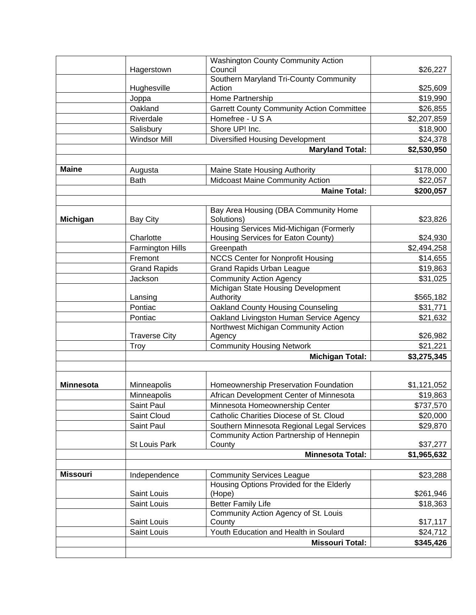| Council<br>Hagerstown<br>Southern Maryland Tri-County Community<br>Action<br>Hughesville<br>\$25,609<br>Joppa<br>Home Partnership<br>\$19,990<br>Oakland<br><b>Garrett County Community Action Committee</b><br>\$26,855<br>Homefree - U S A<br>Riverdale<br>\$2,207,859<br>Salisbury<br>Shore UP! Inc.<br><b>Windsor Mill</b><br><b>Diversified Housing Development</b><br><b>Maryland Total:</b><br><b>Maine</b><br>Augusta<br>Maine State Housing Authority<br>\$178,000<br>Midcoast Maine Community Action<br>\$22,057<br><b>Bath</b><br><b>Maine Total:</b><br>\$200,057<br>Bay Area Housing (DBA Community Home<br>Solutions)<br><b>Michigan</b><br>\$23,826<br>Bay City<br>Housing Services Mid-Michigan (Formerly<br>Housing Services for Eaton County)<br>Charlotte<br>\$24,930<br>Farmington Hills<br>Greenpath<br>\$2,494,258<br><b>NCCS Center for Nonprofit Housing</b><br>Fremont<br>\$14,655<br><b>Grand Rapids</b><br><b>Grand Rapids Urban League</b><br>\$19,863<br><b>Community Action Agency</b><br>\$31,025<br>Jackson<br>Michigan State Housing Development<br>\$565,182<br>Lansing<br>Authority<br>Oakland County Housing Counseling<br>Pontiac<br>\$31,771<br>Oakland Livingston Human Service Agency<br>Pontiac<br>\$21,632<br>Northwest Michigan Community Action<br><b>Traverse City</b><br>Agency<br>\$26,982<br><b>Community Housing Network</b><br>\$21,221<br>Troy<br><b>Michigan Total:</b><br>\$3,275,345<br>Homeownership Preservation Foundation<br><b>Minnesota</b><br>Minneapolis<br>\$1,121,052<br>African Development Center of Minnesota<br>\$19,863<br>Minneapolis<br>Saint Paul<br>Minnesota Homeownership Center<br>\$737,570<br>Saint Cloud<br>Catholic Charities Diocese of St. Cloud<br>\$20,000<br>Saint Paul<br>Southern Minnesota Regional Legal Services<br>\$29,870<br>Community Action Partnership of Hennepin<br>St Louis Park<br>County<br>\$37,277<br><b>Minnesota Total:</b><br>\$1,965,632<br><b>Missouri</b><br>Independence<br><b>Community Services League</b><br>\$23,288<br>Housing Options Provided for the Elderly<br>Saint Louis<br>(Hope)<br>\$261,946<br><b>Better Family Life</b><br>Saint Louis<br>\$18,363<br>Community Action Agency of St. Louis<br>Saint Louis<br>County<br>\$17,117<br>Youth Education and Health in Soulard<br>Saint Louis<br>\$24,712<br><b>Missouri Total:</b><br>\$345,426 |  | <b>Washington County Community Action</b> |             |
|--------------------------------------------------------------------------------------------------------------------------------------------------------------------------------------------------------------------------------------------------------------------------------------------------------------------------------------------------------------------------------------------------------------------------------------------------------------------------------------------------------------------------------------------------------------------------------------------------------------------------------------------------------------------------------------------------------------------------------------------------------------------------------------------------------------------------------------------------------------------------------------------------------------------------------------------------------------------------------------------------------------------------------------------------------------------------------------------------------------------------------------------------------------------------------------------------------------------------------------------------------------------------------------------------------------------------------------------------------------------------------------------------------------------------------------------------------------------------------------------------------------------------------------------------------------------------------------------------------------------------------------------------------------------------------------------------------------------------------------------------------------------------------------------------------------------------------------------------------------------------------------------------------------------------------------------------------------------------------------------------------------------------------------------------------------------------------------------------------------------------------------------------------------------------------------------------------------------------------------------------------------------------------------------------------------------------------------------------------------------------|--|-------------------------------------------|-------------|
|                                                                                                                                                                                                                                                                                                                                                                                                                                                                                                                                                                                                                                                                                                                                                                                                                                                                                                                                                                                                                                                                                                                                                                                                                                                                                                                                                                                                                                                                                                                                                                                                                                                                                                                                                                                                                                                                                                                                                                                                                                                                                                                                                                                                                                                                                                                                                                          |  |                                           | \$26,227    |
|                                                                                                                                                                                                                                                                                                                                                                                                                                                                                                                                                                                                                                                                                                                                                                                                                                                                                                                                                                                                                                                                                                                                                                                                                                                                                                                                                                                                                                                                                                                                                                                                                                                                                                                                                                                                                                                                                                                                                                                                                                                                                                                                                                                                                                                                                                                                                                          |  |                                           |             |
|                                                                                                                                                                                                                                                                                                                                                                                                                                                                                                                                                                                                                                                                                                                                                                                                                                                                                                                                                                                                                                                                                                                                                                                                                                                                                                                                                                                                                                                                                                                                                                                                                                                                                                                                                                                                                                                                                                                                                                                                                                                                                                                                                                                                                                                                                                                                                                          |  |                                           |             |
|                                                                                                                                                                                                                                                                                                                                                                                                                                                                                                                                                                                                                                                                                                                                                                                                                                                                                                                                                                                                                                                                                                                                                                                                                                                                                                                                                                                                                                                                                                                                                                                                                                                                                                                                                                                                                                                                                                                                                                                                                                                                                                                                                                                                                                                                                                                                                                          |  |                                           |             |
|                                                                                                                                                                                                                                                                                                                                                                                                                                                                                                                                                                                                                                                                                                                                                                                                                                                                                                                                                                                                                                                                                                                                                                                                                                                                                                                                                                                                                                                                                                                                                                                                                                                                                                                                                                                                                                                                                                                                                                                                                                                                                                                                                                                                                                                                                                                                                                          |  |                                           |             |
|                                                                                                                                                                                                                                                                                                                                                                                                                                                                                                                                                                                                                                                                                                                                                                                                                                                                                                                                                                                                                                                                                                                                                                                                                                                                                                                                                                                                                                                                                                                                                                                                                                                                                                                                                                                                                                                                                                                                                                                                                                                                                                                                                                                                                                                                                                                                                                          |  |                                           |             |
|                                                                                                                                                                                                                                                                                                                                                                                                                                                                                                                                                                                                                                                                                                                                                                                                                                                                                                                                                                                                                                                                                                                                                                                                                                                                                                                                                                                                                                                                                                                                                                                                                                                                                                                                                                                                                                                                                                                                                                                                                                                                                                                                                                                                                                                                                                                                                                          |  |                                           | \$18,900    |
|                                                                                                                                                                                                                                                                                                                                                                                                                                                                                                                                                                                                                                                                                                                                                                                                                                                                                                                                                                                                                                                                                                                                                                                                                                                                                                                                                                                                                                                                                                                                                                                                                                                                                                                                                                                                                                                                                                                                                                                                                                                                                                                                                                                                                                                                                                                                                                          |  |                                           | \$24,378    |
|                                                                                                                                                                                                                                                                                                                                                                                                                                                                                                                                                                                                                                                                                                                                                                                                                                                                                                                                                                                                                                                                                                                                                                                                                                                                                                                                                                                                                                                                                                                                                                                                                                                                                                                                                                                                                                                                                                                                                                                                                                                                                                                                                                                                                                                                                                                                                                          |  |                                           | \$2,530,950 |
|                                                                                                                                                                                                                                                                                                                                                                                                                                                                                                                                                                                                                                                                                                                                                                                                                                                                                                                                                                                                                                                                                                                                                                                                                                                                                                                                                                                                                                                                                                                                                                                                                                                                                                                                                                                                                                                                                                                                                                                                                                                                                                                                                                                                                                                                                                                                                                          |  |                                           |             |
|                                                                                                                                                                                                                                                                                                                                                                                                                                                                                                                                                                                                                                                                                                                                                                                                                                                                                                                                                                                                                                                                                                                                                                                                                                                                                                                                                                                                                                                                                                                                                                                                                                                                                                                                                                                                                                                                                                                                                                                                                                                                                                                                                                                                                                                                                                                                                                          |  |                                           |             |
|                                                                                                                                                                                                                                                                                                                                                                                                                                                                                                                                                                                                                                                                                                                                                                                                                                                                                                                                                                                                                                                                                                                                                                                                                                                                                                                                                                                                                                                                                                                                                                                                                                                                                                                                                                                                                                                                                                                                                                                                                                                                                                                                                                                                                                                                                                                                                                          |  |                                           |             |
|                                                                                                                                                                                                                                                                                                                                                                                                                                                                                                                                                                                                                                                                                                                                                                                                                                                                                                                                                                                                                                                                                                                                                                                                                                                                                                                                                                                                                                                                                                                                                                                                                                                                                                                                                                                                                                                                                                                                                                                                                                                                                                                                                                                                                                                                                                                                                                          |  |                                           |             |
|                                                                                                                                                                                                                                                                                                                                                                                                                                                                                                                                                                                                                                                                                                                                                                                                                                                                                                                                                                                                                                                                                                                                                                                                                                                                                                                                                                                                                                                                                                                                                                                                                                                                                                                                                                                                                                                                                                                                                                                                                                                                                                                                                                                                                                                                                                                                                                          |  |                                           |             |
|                                                                                                                                                                                                                                                                                                                                                                                                                                                                                                                                                                                                                                                                                                                                                                                                                                                                                                                                                                                                                                                                                                                                                                                                                                                                                                                                                                                                                                                                                                                                                                                                                                                                                                                                                                                                                                                                                                                                                                                                                                                                                                                                                                                                                                                                                                                                                                          |  |                                           |             |
|                                                                                                                                                                                                                                                                                                                                                                                                                                                                                                                                                                                                                                                                                                                                                                                                                                                                                                                                                                                                                                                                                                                                                                                                                                                                                                                                                                                                                                                                                                                                                                                                                                                                                                                                                                                                                                                                                                                                                                                                                                                                                                                                                                                                                                                                                                                                                                          |  |                                           |             |
|                                                                                                                                                                                                                                                                                                                                                                                                                                                                                                                                                                                                                                                                                                                                                                                                                                                                                                                                                                                                                                                                                                                                                                                                                                                                                                                                                                                                                                                                                                                                                                                                                                                                                                                                                                                                                                                                                                                                                                                                                                                                                                                                                                                                                                                                                                                                                                          |  |                                           |             |
|                                                                                                                                                                                                                                                                                                                                                                                                                                                                                                                                                                                                                                                                                                                                                                                                                                                                                                                                                                                                                                                                                                                                                                                                                                                                                                                                                                                                                                                                                                                                                                                                                                                                                                                                                                                                                                                                                                                                                                                                                                                                                                                                                                                                                                                                                                                                                                          |  |                                           |             |
|                                                                                                                                                                                                                                                                                                                                                                                                                                                                                                                                                                                                                                                                                                                                                                                                                                                                                                                                                                                                                                                                                                                                                                                                                                                                                                                                                                                                                                                                                                                                                                                                                                                                                                                                                                                                                                                                                                                                                                                                                                                                                                                                                                                                                                                                                                                                                                          |  |                                           |             |
|                                                                                                                                                                                                                                                                                                                                                                                                                                                                                                                                                                                                                                                                                                                                                                                                                                                                                                                                                                                                                                                                                                                                                                                                                                                                                                                                                                                                                                                                                                                                                                                                                                                                                                                                                                                                                                                                                                                                                                                                                                                                                                                                                                                                                                                                                                                                                                          |  |                                           |             |
|                                                                                                                                                                                                                                                                                                                                                                                                                                                                                                                                                                                                                                                                                                                                                                                                                                                                                                                                                                                                                                                                                                                                                                                                                                                                                                                                                                                                                                                                                                                                                                                                                                                                                                                                                                                                                                                                                                                                                                                                                                                                                                                                                                                                                                                                                                                                                                          |  |                                           |             |
|                                                                                                                                                                                                                                                                                                                                                                                                                                                                                                                                                                                                                                                                                                                                                                                                                                                                                                                                                                                                                                                                                                                                                                                                                                                                                                                                                                                                                                                                                                                                                                                                                                                                                                                                                                                                                                                                                                                                                                                                                                                                                                                                                                                                                                                                                                                                                                          |  |                                           |             |
|                                                                                                                                                                                                                                                                                                                                                                                                                                                                                                                                                                                                                                                                                                                                                                                                                                                                                                                                                                                                                                                                                                                                                                                                                                                                                                                                                                                                                                                                                                                                                                                                                                                                                                                                                                                                                                                                                                                                                                                                                                                                                                                                                                                                                                                                                                                                                                          |  |                                           |             |
|                                                                                                                                                                                                                                                                                                                                                                                                                                                                                                                                                                                                                                                                                                                                                                                                                                                                                                                                                                                                                                                                                                                                                                                                                                                                                                                                                                                                                                                                                                                                                                                                                                                                                                                                                                                                                                                                                                                                                                                                                                                                                                                                                                                                                                                                                                                                                                          |  |                                           |             |
|                                                                                                                                                                                                                                                                                                                                                                                                                                                                                                                                                                                                                                                                                                                                                                                                                                                                                                                                                                                                                                                                                                                                                                                                                                                                                                                                                                                                                                                                                                                                                                                                                                                                                                                                                                                                                                                                                                                                                                                                                                                                                                                                                                                                                                                                                                                                                                          |  |                                           |             |
|                                                                                                                                                                                                                                                                                                                                                                                                                                                                                                                                                                                                                                                                                                                                                                                                                                                                                                                                                                                                                                                                                                                                                                                                                                                                                                                                                                                                                                                                                                                                                                                                                                                                                                                                                                                                                                                                                                                                                                                                                                                                                                                                                                                                                                                                                                                                                                          |  |                                           |             |
|                                                                                                                                                                                                                                                                                                                                                                                                                                                                                                                                                                                                                                                                                                                                                                                                                                                                                                                                                                                                                                                                                                                                                                                                                                                                                                                                                                                                                                                                                                                                                                                                                                                                                                                                                                                                                                                                                                                                                                                                                                                                                                                                                                                                                                                                                                                                                                          |  |                                           |             |
|                                                                                                                                                                                                                                                                                                                                                                                                                                                                                                                                                                                                                                                                                                                                                                                                                                                                                                                                                                                                                                                                                                                                                                                                                                                                                                                                                                                                                                                                                                                                                                                                                                                                                                                                                                                                                                                                                                                                                                                                                                                                                                                                                                                                                                                                                                                                                                          |  |                                           |             |
|                                                                                                                                                                                                                                                                                                                                                                                                                                                                                                                                                                                                                                                                                                                                                                                                                                                                                                                                                                                                                                                                                                                                                                                                                                                                                                                                                                                                                                                                                                                                                                                                                                                                                                                                                                                                                                                                                                                                                                                                                                                                                                                                                                                                                                                                                                                                                                          |  |                                           |             |
|                                                                                                                                                                                                                                                                                                                                                                                                                                                                                                                                                                                                                                                                                                                                                                                                                                                                                                                                                                                                                                                                                                                                                                                                                                                                                                                                                                                                                                                                                                                                                                                                                                                                                                                                                                                                                                                                                                                                                                                                                                                                                                                                                                                                                                                                                                                                                                          |  |                                           |             |
|                                                                                                                                                                                                                                                                                                                                                                                                                                                                                                                                                                                                                                                                                                                                                                                                                                                                                                                                                                                                                                                                                                                                                                                                                                                                                                                                                                                                                                                                                                                                                                                                                                                                                                                                                                                                                                                                                                                                                                                                                                                                                                                                                                                                                                                                                                                                                                          |  |                                           |             |
|                                                                                                                                                                                                                                                                                                                                                                                                                                                                                                                                                                                                                                                                                                                                                                                                                                                                                                                                                                                                                                                                                                                                                                                                                                                                                                                                                                                                                                                                                                                                                                                                                                                                                                                                                                                                                                                                                                                                                                                                                                                                                                                                                                                                                                                                                                                                                                          |  |                                           |             |
|                                                                                                                                                                                                                                                                                                                                                                                                                                                                                                                                                                                                                                                                                                                                                                                                                                                                                                                                                                                                                                                                                                                                                                                                                                                                                                                                                                                                                                                                                                                                                                                                                                                                                                                                                                                                                                                                                                                                                                                                                                                                                                                                                                                                                                                                                                                                                                          |  |                                           |             |
|                                                                                                                                                                                                                                                                                                                                                                                                                                                                                                                                                                                                                                                                                                                                                                                                                                                                                                                                                                                                                                                                                                                                                                                                                                                                                                                                                                                                                                                                                                                                                                                                                                                                                                                                                                                                                                                                                                                                                                                                                                                                                                                                                                                                                                                                                                                                                                          |  |                                           |             |
|                                                                                                                                                                                                                                                                                                                                                                                                                                                                                                                                                                                                                                                                                                                                                                                                                                                                                                                                                                                                                                                                                                                                                                                                                                                                                                                                                                                                                                                                                                                                                                                                                                                                                                                                                                                                                                                                                                                                                                                                                                                                                                                                                                                                                                                                                                                                                                          |  |                                           |             |
|                                                                                                                                                                                                                                                                                                                                                                                                                                                                                                                                                                                                                                                                                                                                                                                                                                                                                                                                                                                                                                                                                                                                                                                                                                                                                                                                                                                                                                                                                                                                                                                                                                                                                                                                                                                                                                                                                                                                                                                                                                                                                                                                                                                                                                                                                                                                                                          |  |                                           |             |
|                                                                                                                                                                                                                                                                                                                                                                                                                                                                                                                                                                                                                                                                                                                                                                                                                                                                                                                                                                                                                                                                                                                                                                                                                                                                                                                                                                                                                                                                                                                                                                                                                                                                                                                                                                                                                                                                                                                                                                                                                                                                                                                                                                                                                                                                                                                                                                          |  |                                           |             |
|                                                                                                                                                                                                                                                                                                                                                                                                                                                                                                                                                                                                                                                                                                                                                                                                                                                                                                                                                                                                                                                                                                                                                                                                                                                                                                                                                                                                                                                                                                                                                                                                                                                                                                                                                                                                                                                                                                                                                                                                                                                                                                                                                                                                                                                                                                                                                                          |  |                                           |             |
|                                                                                                                                                                                                                                                                                                                                                                                                                                                                                                                                                                                                                                                                                                                                                                                                                                                                                                                                                                                                                                                                                                                                                                                                                                                                                                                                                                                                                                                                                                                                                                                                                                                                                                                                                                                                                                                                                                                                                                                                                                                                                                                                                                                                                                                                                                                                                                          |  |                                           |             |
|                                                                                                                                                                                                                                                                                                                                                                                                                                                                                                                                                                                                                                                                                                                                                                                                                                                                                                                                                                                                                                                                                                                                                                                                                                                                                                                                                                                                                                                                                                                                                                                                                                                                                                                                                                                                                                                                                                                                                                                                                                                                                                                                                                                                                                                                                                                                                                          |  |                                           |             |
|                                                                                                                                                                                                                                                                                                                                                                                                                                                                                                                                                                                                                                                                                                                                                                                                                                                                                                                                                                                                                                                                                                                                                                                                                                                                                                                                                                                                                                                                                                                                                                                                                                                                                                                                                                                                                                                                                                                                                                                                                                                                                                                                                                                                                                                                                                                                                                          |  |                                           |             |
|                                                                                                                                                                                                                                                                                                                                                                                                                                                                                                                                                                                                                                                                                                                                                                                                                                                                                                                                                                                                                                                                                                                                                                                                                                                                                                                                                                                                                                                                                                                                                                                                                                                                                                                                                                                                                                                                                                                                                                                                                                                                                                                                                                                                                                                                                                                                                                          |  |                                           |             |
|                                                                                                                                                                                                                                                                                                                                                                                                                                                                                                                                                                                                                                                                                                                                                                                                                                                                                                                                                                                                                                                                                                                                                                                                                                                                                                                                                                                                                                                                                                                                                                                                                                                                                                                                                                                                                                                                                                                                                                                                                                                                                                                                                                                                                                                                                                                                                                          |  |                                           |             |
|                                                                                                                                                                                                                                                                                                                                                                                                                                                                                                                                                                                                                                                                                                                                                                                                                                                                                                                                                                                                                                                                                                                                                                                                                                                                                                                                                                                                                                                                                                                                                                                                                                                                                                                                                                                                                                                                                                                                                                                                                                                                                                                                                                                                                                                                                                                                                                          |  |                                           |             |
|                                                                                                                                                                                                                                                                                                                                                                                                                                                                                                                                                                                                                                                                                                                                                                                                                                                                                                                                                                                                                                                                                                                                                                                                                                                                                                                                                                                                                                                                                                                                                                                                                                                                                                                                                                                                                                                                                                                                                                                                                                                                                                                                                                                                                                                                                                                                                                          |  |                                           |             |
|                                                                                                                                                                                                                                                                                                                                                                                                                                                                                                                                                                                                                                                                                                                                                                                                                                                                                                                                                                                                                                                                                                                                                                                                                                                                                                                                                                                                                                                                                                                                                                                                                                                                                                                                                                                                                                                                                                                                                                                                                                                                                                                                                                                                                                                                                                                                                                          |  |                                           |             |
|                                                                                                                                                                                                                                                                                                                                                                                                                                                                                                                                                                                                                                                                                                                                                                                                                                                                                                                                                                                                                                                                                                                                                                                                                                                                                                                                                                                                                                                                                                                                                                                                                                                                                                                                                                                                                                                                                                                                                                                                                                                                                                                                                                                                                                                                                                                                                                          |  |                                           |             |
|                                                                                                                                                                                                                                                                                                                                                                                                                                                                                                                                                                                                                                                                                                                                                                                                                                                                                                                                                                                                                                                                                                                                                                                                                                                                                                                                                                                                                                                                                                                                                                                                                                                                                                                                                                                                                                                                                                                                                                                                                                                                                                                                                                                                                                                                                                                                                                          |  |                                           |             |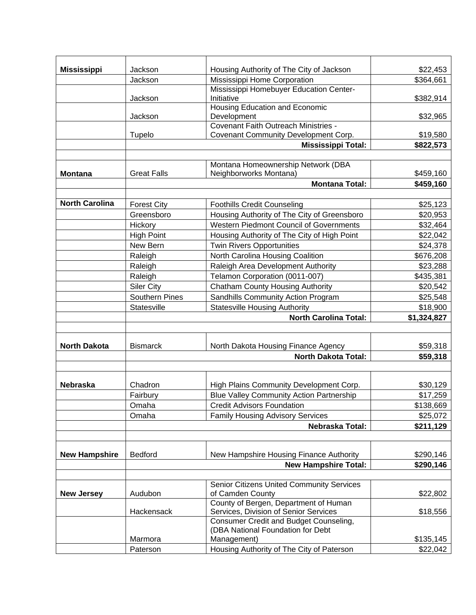| <b>Mississippi</b>    | Jackson               | Housing Authority of The City of Jackson                                             | \$22,453              |
|-----------------------|-----------------------|--------------------------------------------------------------------------------------|-----------------------|
|                       | Jackson               | Mississippi Home Corporation                                                         | \$364,661             |
|                       | Jackson               | Mississippi Homebuyer Education Center-<br>Initiative                                | \$382,914             |
|                       |                       | <b>Housing Education and Economic</b>                                                |                       |
|                       | Jackson               | Development                                                                          | \$32,965              |
|                       |                       | <b>Covenant Faith Outreach Ministries -</b>                                          |                       |
|                       | Tupelo                | Covenant Community Development Corp.                                                 | \$19,580              |
|                       |                       | <b>Mississippi Total:</b>                                                            | \$822,573             |
|                       |                       | Montana Homeownership Network (DBA                                                   |                       |
| <b>Montana</b>        | <b>Great Falls</b>    | Neighborworks Montana)                                                               | \$459,160             |
|                       |                       | <b>Montana Total:</b>                                                                | \$459,160             |
|                       |                       |                                                                                      |                       |
| <b>North Carolina</b> | <b>Forest City</b>    | <b>Foothills Credit Counseling</b>                                                   | \$25,123              |
|                       | Greensboro            | Housing Authority of The City of Greensboro                                          | \$20,953              |
|                       | Hickory               | <b>Western Piedmont Council of Governments</b>                                       | \$32,464              |
|                       | <b>High Point</b>     | Housing Authority of The City of High Point                                          | \$22,042              |
|                       | New Bern              | <b>Twin Rivers Opportunities</b>                                                     | \$24,378              |
|                       | Raleigh               | North Carolina Housing Coalition                                                     | \$676,208             |
|                       | Raleigh               | Raleigh Area Development Authority                                                   | \$23,288              |
|                       | Raleigh               | Telamon Corporation (0011-007)                                                       | \$435,381             |
|                       | <b>Siler City</b>     | <b>Chatham County Housing Authority</b>                                              | \$20,542              |
|                       | <b>Southern Pines</b> | Sandhills Community Action Program                                                   | \$25,548              |
|                       | Statesville           | <b>Statesville Housing Authority</b>                                                 | \$18,900              |
|                       |                       | <b>North Carolina Total:</b>                                                         | \$1,324,827           |
|                       |                       |                                                                                      |                       |
| <b>North Dakota</b>   | <b>Bismarck</b>       | North Dakota Housing Finance Agency                                                  | \$59,318              |
|                       |                       | <b>North Dakota Total:</b>                                                           | \$59,318              |
|                       |                       |                                                                                      |                       |
|                       |                       |                                                                                      |                       |
| Nebraska              | Chadron               | High Plains Community Development Corp.                                              | \$30,129              |
|                       | Fairbury              | <b>Blue Valley Community Action Partnership</b><br><b>Credit Advisors Foundation</b> | \$17,259              |
|                       | Omaha<br>Omaha        | <b>Family Housing Advisory Services</b>                                              | \$138,669             |
|                       |                       | Nebraska Total:                                                                      | \$25,072<br>\$211,129 |
|                       |                       |                                                                                      |                       |
|                       |                       |                                                                                      |                       |
| <b>New Hampshire</b>  | <b>Bedford</b>        | New Hampshire Housing Finance Authority                                              | \$290,146             |
|                       |                       | <b>New Hampshire Total:</b>                                                          | \$290,146             |
|                       |                       |                                                                                      |                       |
|                       |                       | Senior Citizens United Community Services                                            |                       |
| <b>New Jersey</b>     | Audubon               | of Camden County<br>County of Bergen, Department of Human                            | \$22,802              |
|                       |                       | Services, Division of Senior Services                                                | \$18,556              |
|                       |                       |                                                                                      |                       |
|                       | Hackensack            |                                                                                      |                       |
|                       |                       | Consumer Credit and Budget Counseling,<br>(DBA National Foundation for Debt          |                       |
|                       | Marmora               | Management)                                                                          | \$135,145             |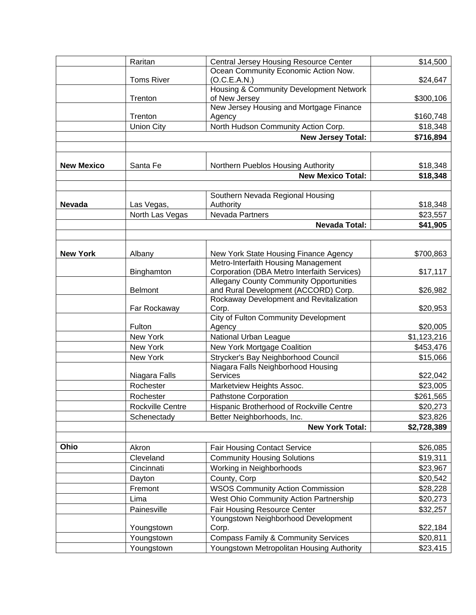|                   | Raritan           | <b>Central Jersey Housing Resource Center</b>                             | \$14,500    |
|-------------------|-------------------|---------------------------------------------------------------------------|-------------|
|                   |                   | Ocean Community Economic Action Now.                                      |             |
|                   | <b>Toms River</b> | (O.C.E.A.N.)                                                              | \$24,647    |
|                   |                   | Housing & Community Development Network                                   |             |
|                   | Trenton           | of New Jersey                                                             | \$300,106   |
|                   | Trenton           | New Jersey Housing and Mortgage Finance<br>Agency                         | \$160,748   |
|                   | <b>Union City</b> | North Hudson Community Action Corp.                                       | \$18,348    |
|                   |                   | <b>New Jersey Total:</b>                                                  | \$716,894   |
|                   |                   |                                                                           |             |
|                   |                   |                                                                           |             |
| <b>New Mexico</b> | Santa Fe          | Northern Pueblos Housing Authority                                        | \$18,348    |
|                   |                   | <b>New Mexico Total:</b>                                                  | \$18,348    |
|                   |                   |                                                                           |             |
|                   |                   | Southern Nevada Regional Housing                                          |             |
| <b>Nevada</b>     | Las Vegas,        | Authority                                                                 | \$18,348    |
|                   | North Las Vegas   | Nevada Partners                                                           | \$23,557    |
|                   |                   | <b>Nevada Total:</b>                                                      | \$41,905    |
|                   |                   |                                                                           |             |
| <b>New York</b>   | Albany            | New York State Housing Finance Agency                                     | \$700,863   |
|                   |                   | Metro-Interfaith Housing Management                                       |             |
|                   | Binghamton        | Corporation (DBA Metro Interfaith Services)                               | \$17,117    |
|                   |                   | <b>Allegany County Community Opportunities</b>                            |             |
|                   | <b>Belmont</b>    | and Rural Development (ACCORD) Corp.                                      | \$26,982    |
|                   |                   | Rockaway Development and Revitalization                                   |             |
|                   | Far Rockaway      | Corp.                                                                     | \$20,953    |
|                   | Fulton            | <b>City of Fulton Community Development</b>                               | \$20,005    |
|                   | New York          | Agency<br>National Urban League                                           | \$1,123,216 |
|                   | New York          | New York Mortgage Coalition                                               | \$453,476   |
|                   |                   |                                                                           |             |
|                   | New York          | Strycker's Bay Neighborhood Council<br>Niagara Falls Neighborhood Housing | \$15,066    |
|                   | Niagara Falls     | Services                                                                  | \$22,042    |
|                   | Rochester         | Marketview Heights Assoc.                                                 | \$23,005    |
|                   | Rochester         | Pathstone Corporation                                                     | \$261,565   |
|                   | Rockville Centre  | Hispanic Brotherhood of Rockville Centre                                  | \$20,273    |
|                   | Schenectady       | Better Neighborhoods, Inc.                                                | \$23,826    |
|                   |                   | <b>New York Total:</b>                                                    | \$2,728,389 |
|                   |                   |                                                                           |             |
| Ohio              | Akron             | <b>Fair Housing Contact Service</b>                                       | \$26,085    |
|                   | Cleveland         | <b>Community Housing Solutions</b>                                        | \$19,311    |
|                   | Cincinnati        | Working in Neighborhoods                                                  | \$23,967    |
|                   | Dayton            | County, Corp                                                              | \$20,542    |
|                   | Fremont           | <b>WSOS Community Action Commission</b>                                   | \$28,228    |
|                   | Lima              | West Ohio Community Action Partnership                                    | \$20,273    |
|                   | Painesville       | <b>Fair Housing Resource Center</b>                                       | \$32,257    |
|                   |                   | Youngstown Neighborhood Development                                       |             |
|                   | Youngstown        | Corp.                                                                     | \$22,184    |
|                   | Youngstown        | <b>Compass Family &amp; Community Services</b>                            | \$20,811    |
|                   | Youngstown        | Youngstown Metropolitan Housing Authority                                 | \$23,415    |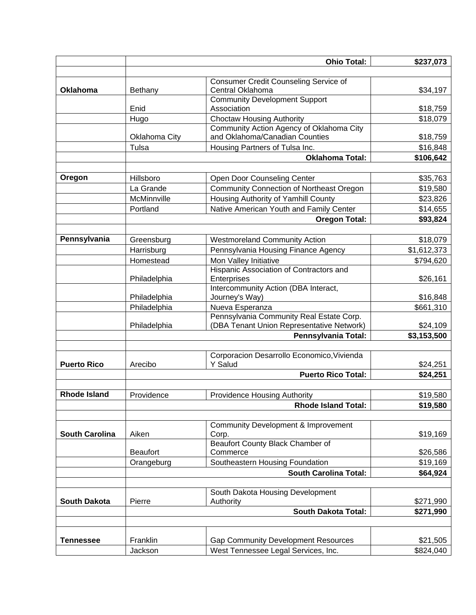|                       |                 | <b>Ohio Total:</b>                                                           | \$237,073   |
|-----------------------|-----------------|------------------------------------------------------------------------------|-------------|
|                       |                 |                                                                              |             |
|                       |                 | <b>Consumer Credit Counseling Service of</b>                                 |             |
| <b>Oklahoma</b>       | Bethany         | Central Oklahoma                                                             | \$34,197    |
|                       |                 | <b>Community Development Support</b>                                         |             |
|                       | Enid            | Association                                                                  | \$18,759    |
|                       | Hugo            | <b>Choctaw Housing Authority</b><br>Community Action Agency of Oklahoma City | \$18,079    |
|                       | Oklahoma City   | and Oklahoma/Canadian Counties                                               | \$18,759    |
|                       | Tulsa           | Housing Partners of Tulsa Inc.                                               | \$16,848    |
|                       |                 | <b>Oklahoma Total:</b>                                                       | \$106,642   |
|                       |                 |                                                                              |             |
| Oregon                | Hillsboro       | Open Door Counseling Center                                                  | \$35,763    |
|                       | La Grande       | <b>Community Connection of Northeast Oregon</b>                              | \$19,580    |
|                       | McMinnville     | Housing Authority of Yamhill County                                          | \$23,826    |
|                       | Portland        | Native American Youth and Family Center                                      | \$14,655    |
|                       |                 |                                                                              |             |
|                       |                 | <b>Oregon Total:</b>                                                         | \$93,824    |
| Pennsylvania          |                 |                                                                              |             |
|                       | Greensburg      | <b>Westmoreland Community Action</b>                                         | \$18,079    |
|                       | Harrisburg      | Pennsylvania Housing Finance Agency                                          | \$1,612,373 |
|                       | Homestead       | Mon Valley Initiative                                                        | \$794,620   |
|                       | Philadelphia    | Hispanic Association of Contractors and<br>Enterprises                       | \$26,161    |
|                       |                 | Intercommunity Action (DBA Interact,                                         |             |
|                       | Philadelphia    | Journey's Way)                                                               | \$16,848    |
|                       | Philadelphia    | Nueva Esperanza                                                              | \$661,310   |
|                       |                 | Pennsylvania Community Real Estate Corp.                                     |             |
|                       | Philadelphia    | (DBA Tenant Union Representative Network)                                    | \$24,109    |
|                       |                 | Pennsylvania Total:                                                          | \$3,153,500 |
|                       |                 |                                                                              |             |
|                       |                 | Corporacion Desarrollo Economico, Vivienda                                   |             |
| <b>Puerto Rico</b>    | Arecibo         | Y Salud                                                                      | \$24,251    |
|                       |                 | <b>Puerto Rico Total:</b>                                                    | \$24,251    |
|                       |                 |                                                                              |             |
| <b>Rhode Island</b>   | Providence      | <b>Providence Housing Authority</b>                                          | \$19,580    |
|                       |                 | <b>Rhode Island Total:</b>                                                   | \$19,580    |
|                       |                 |                                                                              |             |
|                       |                 | <b>Community Development &amp; Improvement</b>                               |             |
| <b>South Carolina</b> | Aiken           | Corp.                                                                        | \$19,169    |
|                       |                 | <b>Beaufort County Black Chamber of</b>                                      |             |
|                       | <b>Beaufort</b> | Commerce                                                                     | \$26,586    |
|                       | Orangeburg      | Southeastern Housing Foundation                                              | \$19,169    |
|                       |                 | South Carolina Total:                                                        | \$64,924    |
|                       |                 |                                                                              |             |
| <b>South Dakota</b>   | Pierre          | South Dakota Housing Development<br>Authority                                |             |
|                       |                 |                                                                              | \$271,990   |
|                       |                 | <b>South Dakota Total:</b>                                                   | \$271,990   |
|                       |                 |                                                                              |             |
| <b>Tennessee</b>      | Franklin        | <b>Gap Community Development Resources</b>                                   | \$21,505    |
|                       | Jackson         | West Tennessee Legal Services, Inc.                                          | \$824,040   |
|                       |                 |                                                                              |             |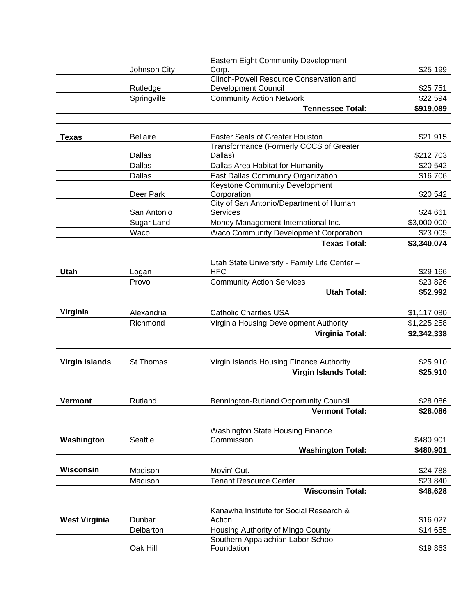|                       |                 | <b>Eastern Eight Community Development</b>                             |             |
|-----------------------|-----------------|------------------------------------------------------------------------|-------------|
|                       | Johnson City    | Corp.                                                                  | \$25,199    |
|                       |                 | <b>Clinch-Powell Resource Conservation and</b>                         |             |
|                       | Rutledge        | <b>Development Council</b>                                             | \$25,751    |
|                       | Springville     | <b>Community Action Network</b>                                        | \$22,594    |
|                       |                 | <b>Tennessee Total:</b>                                                | \$919,089   |
|                       |                 |                                                                        |             |
| <b>Texas</b>          | <b>Bellaire</b> | Easter Seals of Greater Houston                                        | \$21,915    |
|                       |                 | Transformance (Formerly CCCS of Greater                                |             |
|                       | Dallas          | Dallas)                                                                | \$212,703   |
|                       | <b>Dallas</b>   | Dallas Area Habitat for Humanity                                       | \$20,542    |
|                       | Dallas          | East Dallas Community Organization                                     | \$16,706    |
|                       |                 | <b>Keystone Community Development</b>                                  |             |
|                       | Deer Park       | Corporation                                                            | \$20,542    |
|                       |                 | City of San Antonio/Department of Human                                |             |
|                       | San Antonio     | Services                                                               | \$24,661    |
|                       | Sugar Land      | Money Management International Inc.                                    | \$3,000,000 |
|                       | Waco            | <b>Waco Community Development Corporation</b>                          | \$23,005    |
|                       |                 | <b>Texas Total:</b>                                                    |             |
|                       |                 |                                                                        | \$3,340,074 |
|                       |                 | Utah State University - Family Life Center -                           |             |
| Utah                  | Logan           | <b>HFC</b>                                                             | \$29,166    |
|                       | Provo           | <b>Community Action Services</b>                                       | \$23,826    |
|                       |                 | <b>Utah Total:</b>                                                     | \$52,992    |
| Virginia              | Alexandria      | <b>Catholic Charities USA</b>                                          | \$1,117,080 |
|                       | Richmond        | Virginia Housing Development Authority                                 | \$1,225,258 |
|                       |                 | <b>Virginia Total:</b>                                                 | \$2,342,338 |
|                       |                 |                                                                        |             |
| <b>Virgin Islands</b> | St Thomas       | Virgin Islands Housing Finance Authority                               | \$25,910    |
|                       |                 | <b>Virgin Islands Total:</b>                                           | \$25,910    |
|                       |                 |                                                                        |             |
| <b>Vermont</b>        | Rutland         | Bennington-Rutland Opportunity Council                                 | \$28,086    |
|                       |                 | <b>Vermont Total:</b>                                                  | \$28,086    |
|                       |                 |                                                                        |             |
|                       | Seattle         | <b>Washington State Housing Finance</b><br>Commission                  | \$480,901   |
| Washington            |                 |                                                                        |             |
|                       |                 | <b>Washington Total:</b>                                               | \$480,901   |
|                       |                 |                                                                        |             |
| <b>Wisconsin</b>      | Madison         | Movin' Out.                                                            | \$24,788    |
|                       | Madison         | <b>Tenant Resource Center</b>                                          | \$23,840    |
|                       |                 | <b>Wisconsin Total:</b>                                                | \$48,628    |
|                       |                 | Kanawha Institute for Social Research &                                |             |
| <b>West Virginia</b>  | Dunbar          | Action                                                                 | \$16,027    |
|                       |                 |                                                                        | \$14,655    |
|                       | Delbarton       | Housing Authority of Mingo County<br>Southern Appalachian Labor School |             |
|                       | Oak Hill        | Foundation                                                             | \$19,863    |
|                       |                 |                                                                        |             |